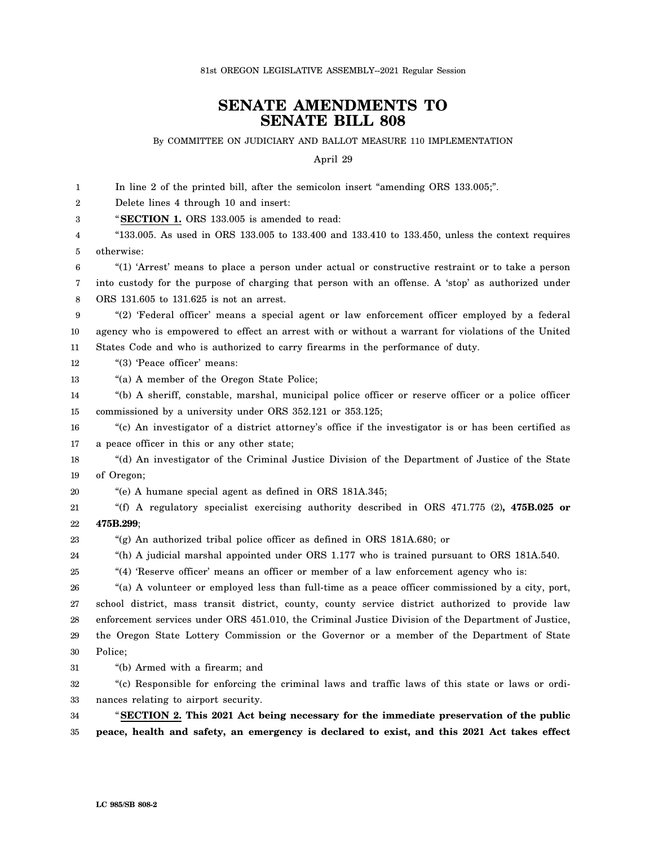## **SENATE AMENDMENTS TO SENATE BILL 808**

## By COMMITTEE ON JUDICIARY AND BALLOT MEASURE 110 IMPLEMENTATION

April 29

1  $\mathfrak{D}$ 3 4 5 6 7 8 9 10 11 12 13 14 15 16 17 18 19 20 21 22 23 24 25 26 27 28 29 30 31 32 33 34 35 In line 2 of the printed bill, after the semicolon insert "amending ORS 133.005;". Delete lines 4 through 10 and insert: "**SECTION 1.** ORS 133.005 is amended to read: "133.005. As used in ORS 133.005 to 133.400 and 133.410 to 133.450, unless the context requires otherwise: "(1) 'Arrest' means to place a person under actual or constructive restraint or to take a person into custody for the purpose of charging that person with an offense. A 'stop' as authorized under ORS 131.605 to 131.625 is not an arrest. "(2) 'Federal officer' means a special agent or law enforcement officer employed by a federal agency who is empowered to effect an arrest with or without a warrant for violations of the United States Code and who is authorized to carry firearms in the performance of duty. "(3) 'Peace officer' means: "(a) A member of the Oregon State Police; "(b) A sheriff, constable, marshal, municipal police officer or reserve officer or a police officer commissioned by a university under ORS 352.121 or 353.125; "(c) An investigator of a district attorney's office if the investigator is or has been certified as a peace officer in this or any other state; "(d) An investigator of the Criminal Justice Division of the Department of Justice of the State of Oregon; "(e) A humane special agent as defined in ORS 181A.345; "(f) A regulatory specialist exercising authority described in ORS 471.775 (2)**, 475B.025 or 475B.299**; "(g) An authorized tribal police officer as defined in ORS 181A.680; or "(h) A judicial marshal appointed under ORS 1.177 who is trained pursuant to ORS 181A.540. "(4) 'Reserve officer' means an officer or member of a law enforcement agency who is: "(a) A volunteer or employed less than full-time as a peace officer commissioned by a city, port, school district, mass transit district, county, county service district authorized to provide law enforcement services under ORS 451.010, the Criminal Justice Division of the Department of Justice, the Oregon State Lottery Commission or the Governor or a member of the Department of State Police; "(b) Armed with a firearm; and "(c) Responsible for enforcing the criminal laws and traffic laws of this state or laws or ordinances relating to airport security. "**SECTION 2. This 2021 Act being necessary for the immediate preservation of the public peace, health and safety, an emergency is declared to exist, and this 2021 Act takes effect**